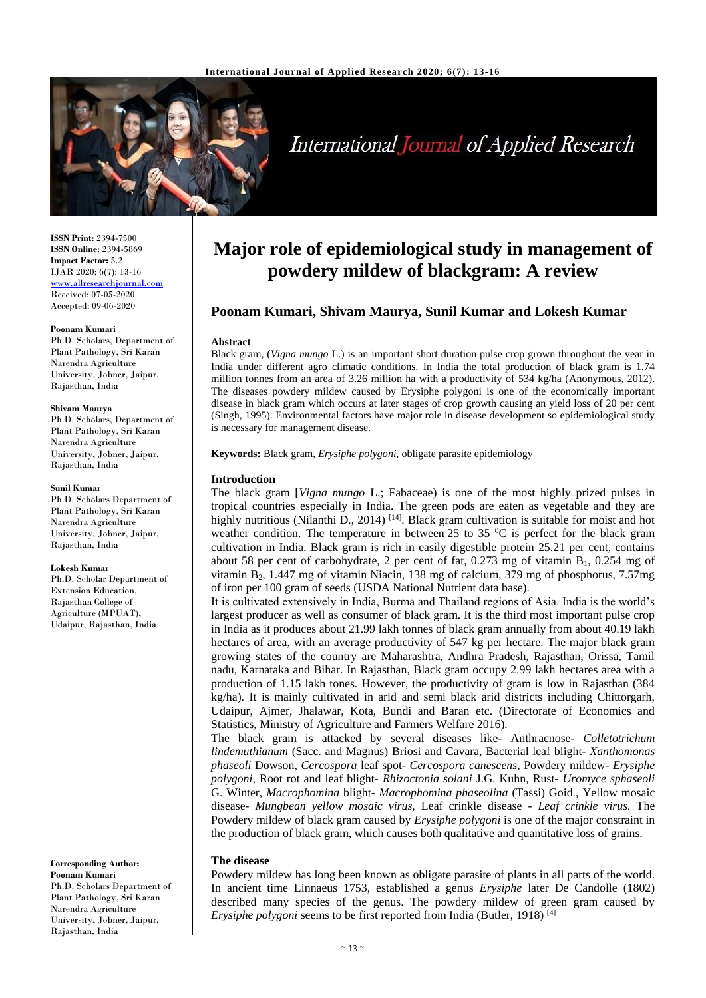

# **International Journal of Applied Research**

**ISSN Print:** 2394-7500 **ISSN Online:** 2394-5869 **Impact Factor:** 5.2 IJAR 2020; 6(7): 13-16 <www.allresearchjournal.com> Received: 07-05-2020 Accepted: 09-06-2020

#### **Poonam Kumari**

Ph.D. Scholars, Department of Plant Pathology, Sri Karan Narendra Agriculture University, Jobner, Jaipur, Rajasthan, India

#### **Shivam Maurya**

Ph.D. Scholars, Department of Plant Pathology, Sri Karan Narendra Agriculture University, Jobner, Jaipur, Rajasthan, India

#### **Sunil Kumar**

Ph.D. Scholars Department of Plant Pathology, Sri Karan Narendra Agriculture University, Jobner, Jaipur, Rajasthan, India

#### **Lokesh Kumar**

Ph.D. Scholar Department of Extension Education, Rajasthan College of Agriculture (MPUAT), Udaipur, Rajasthan, India

**Corresponding Author: Poonam Kumari** Ph.D. Scholars Department of Plant Pathology, Sri Karan Narendra Agriculture University, Jobner, Jaipur, Rajasthan, India

## **Major role of epidemiological study in management of powdery mildew of blackgram: A review**

### **Poonam Kumari, Shivam Maurya, Sunil Kumar and Lokesh Kumar**

#### **Abstract**

Black gram, (*Vigna mungo* L.) is an important short duration pulse crop grown throughout the year in India under different agro climatic conditions. In India the total production of black gram is 1.74 million tonnes from an area of 3.26 million ha with a productivity of 534 kg/ha (Anonymous, 2012). The diseases powdery mildew caused by Erysiphe polygoni is one of the economically important disease in black gram which occurs at later stages of crop growth causing an yield loss of 20 per cent (Singh, 1995). Environmental factors have major role in disease development so epidemiological study is necessary for management disease.

**Keywords:** Black gram, *Erysiphe polygoni*, obligate parasite epidemiology

#### **Introduction**

The black gram [*Vigna mungo* L.; Fabaceae) is one of the most highly prized pulses in tropical countries especially in India. The green pods are eaten as vegetable and they are highly nutritious (Nilanthi D., 2014)<sup>[14]</sup>. Black gram cultivation is suitable for moist and hot weather condition. The temperature in between 25 to 35  $\mathrm{^0C}$  is perfect for the black gram cultivation in India. Black gram is rich in easily digestible protein 25.21 per cent, contains about 58 per cent of carbohydrate, 2 per cent of fat,  $0.273$  mg of vitamin B<sub>1</sub>,  $0.254$  mg of vitamin B2, 1.447 mg of vitamin Niacin, 138 mg of calcium, 379 mg of phosphorus, 7.57mg of iron per 100 gram of seeds (USDA National Nutrient data base).

It is cultivated extensively in India, Burma and Thailand regions of Asia. India is the world's largest producer as well as consumer of black gram. It is the third most important pulse crop in India as it produces about 21.99 lakh tonnes of black gram annually from about 40.19 lakh hectares of area, with an average productivity of 547 kg per hectare. The major black gram growing states of the country are Maharashtra, Andhra Pradesh, Rajasthan, Orissa, Tamil nadu, Karnataka and Bihar. In Rajasthan, Black gram occupy 2.99 lakh hectares area with a production of 1.15 lakh tones. However, the productivity of gram is low in Rajasthan (384 kg/ha). It is mainly cultivated in arid and semi black arid districts including Chittorgarh, Udaipur, Ajmer, Jhalawar, Kota, Bundi and Baran etc. (Directorate of Economics and Statistics, Ministry of Agriculture and Farmers Welfare 2016).

The black gram is attacked by several diseases like- Anthracnose- *Colletotrichum lindemuthianum* (Sacc. and Magnus) Briosi and Cavara, Bacterial leaf blight- *Xanthomonas phaseoli* Dowson, *Cercospora* leaf spot- *Cercospora canescens,* Powdery mildew- *Erysiphe polygoni,* Root rot and leaf blight- *Rhizoctonia solani* J.G. Kuhn, Rust- *Uromyce sphaseoli*  G. Winter, *Macrophomina* blight- *Macrophomina phaseolina* (Tassi) Goid., Yellow mosaic disease- *Mungbean yellow mosaic virus,* Leaf crinkle disease - *Leaf crinkle virus.* The Powdery mildew of black gram caused by *Erysiphe polygoni* is one of the major constraint in the production of black gram, which causes both qualitative and quantitative loss of grains.

#### **The disease**

Powdery mildew has long been known as obligate parasite of plants in all parts of the world. In ancient time Linnaeus 1753, established a genus *Erysiphe* later De Candolle (1802) described many species of the genus. The powdery mildew of green gram caused by *Erysiphe polygoni* seems to be first reported from India (Butler, 1918)<sup>[4]</sup>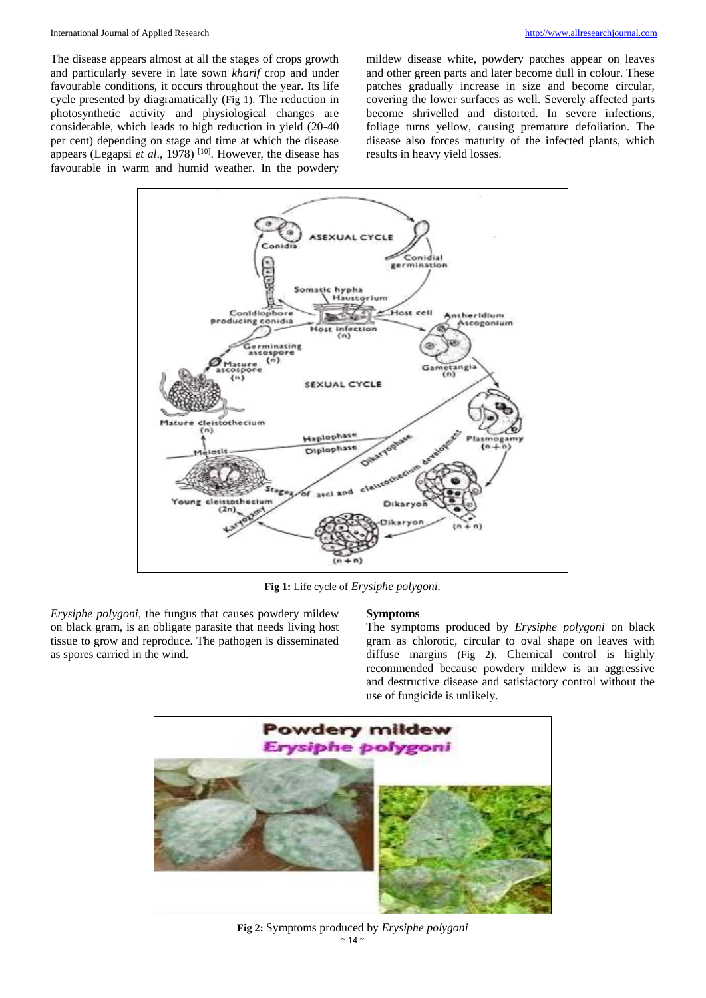#### International Journal of Applied Research [http://www.allresearchjournal.com](http://www.allresearchjournal.com/)

The disease appears almost at all the stages of crops growth and particularly severe in late sown *kharif* crop and under favourable conditions, it occurs throughout the year. Its life cycle presented by diagramatically (Fig 1). The reduction in photosynthetic activity and physiological changes are considerable, which leads to high reduction in yield (20-40 per cent) depending on stage and time at which the disease appears (Legapsi *et al.*, 1978)<sup>[10]</sup>. However, the disease has favourable in warm and humid weather. In the powdery mildew disease white, powdery patches appear on leaves and other green parts and later become dull in colour. These patches gradually increase in size and become circular, covering the lower surfaces as well. Severely affected parts become shrivelled and distorted. In severe infections, foliage turns yellow, causing premature defoliation. The disease also forces maturity of the infected plants, which results in heavy yield losses.



**Fig 1:** Life cycle of *Erysiphe polygoni.*

*Erysiphe polygoni*, the fungus that causes powdery mildew on black gram, is an obligate parasite that needs living host tissue to grow and reproduce. The pathogen is disseminated as spores carried in the wind.

#### **Symptoms**

The symptoms produced by *Erysiphe polygoni* on black gram as chlorotic, circular to oval shape on leaves with diffuse margins (Fig 2). Chemical control is highly recommended because powdery mildew is an aggressive and destructive disease and satisfactory control without the use of fungicide is unlikely.



 $\sim$  14  $\sim$ **Fig 2:** Symptoms produced by *Erysiphe polygoni*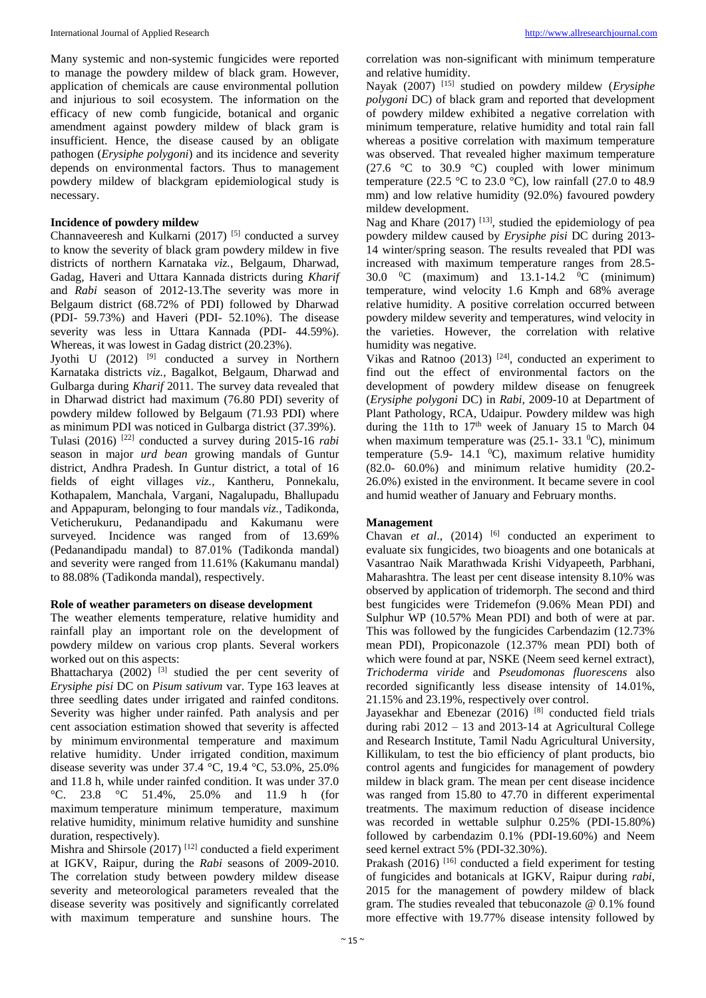Many systemic and non-systemic fungicides were reported to manage the powdery mildew of black gram. However, application of chemicals are cause environmental pollution and injurious to soil ecosystem. The information on the efficacy of new comb fungicide, botanical and organic amendment against powdery mildew of black gram is insufficient. Hence, the disease caused by an obligate pathogen (*Erysiphe polygoni*) and its incidence and severity depends on environmental factors. Thus to management powdery mildew of blackgram epidemiological study is necessary.

#### **Incidence of powdery mildew**

Channaveeresh and Kulkarni  $(2017)$ <sup>[5]</sup> conducted a survey to know the severity of black gram powdery mildew in five districts of northern Karnataka *viz.*, Belgaum, Dharwad, Gadag, Haveri and Uttara Kannada districts during *Kharif*  and *Rabi* season of 2012-13.The severity was more in Belgaum district (68.72% of PDI) followed by Dharwad (PDI- 59.73%) and Haveri (PDI- 52.10%). The disease severity was less in Uttara Kannada (PDI- 44.59%). Whereas, it was lowest in Gadag district (20.23%).

Jyothi U (2012) [9] conducted a survey in Northern Karnataka districts *viz.,* Bagalkot, Belgaum, Dharwad and Gulbarga during *Kharif* 2011. The survey data revealed that in Dharwad district had maximum (76.80 PDI) severity of powdery mildew followed by Belgaum (71.93 PDI) where as minimum PDI was noticed in Gulbarga district (37.39%). Tulasi (2016) [22] conducted a survey during 2015-16 *rabi*  season in major *urd bean* growing mandals of Guntur district, Andhra Pradesh. In Guntur district, a total of 16 fields of eight villages *viz.,* Kantheru, Ponnekalu, Kothapalem, Manchala, Vargani, Nagalupadu, Bhallupadu and Appapuram, belonging to four mandals *viz.*, Tadikonda, Veticherukuru, Pedanandipadu and Kakumanu were surveyed. Incidence was ranged from of 13.69% (Pedanandipadu mandal) to 87.01% (Tadikonda mandal) and severity were ranged from 11.61% (Kakumanu mandal) to 88.08% (Tadikonda mandal), respectively.

#### **Role of weather parameters on disease development**

The weather elements temperature, relative humidity and rainfall play an important role on the development of powdery mildew on various crop plants. Several workers worked out on this aspects:

Bhattacharya (2002)  $^{[3]}$  studied the per cent severity of *Erysiphe pisi* DC on *Pisum sativum* var. Type 163 leaves at three seedling dates under irrigated and rainfed conditons. Severity was higher under rainfed. Path analysis and per cent association estimation showed that severity is affected by minimum environmental temperature and maximum relative humidity. Under irrigated condition, maximum disease severity was under 37.4 °C, 19.4 °C, 53.0%, 25.0% and 11.8 h, while under rainfed condition. It was under 37.0 °C. 23.8 °C 51.4%, 25.0% and 11.9 h (for maximum temperature minimum temperature, maximum relative humidity, minimum relative humidity and sunshine duration, respectively).

Mishra and Shirsole  $(2017)$ <sup>[12]</sup> conducted a field experiment at IGKV, Raipur, during the *Rabi* seasons of 2009-2010. The correlation study between powdery mildew disease severity and meteorological parameters revealed that the disease severity was positively and significantly correlated with maximum temperature and sunshine hours. The

correlation was non-significant with minimum temperature and relative humidity.

Nayak (2007) [15] studied on powdery mildew (*Erysiphe polygoni* DC) of black gram and reported that development of powdery mildew exhibited a negative correlation with minimum temperature, relative humidity and total rain fall whereas a positive correlation with maximum temperature was observed. That revealed higher maximum temperature (27.6  $\degree$ C to 30.9  $\degree$ C) coupled with lower minimum temperature (22.5 °C to 23.0 °C), low rainfall (27.0 to 48.9 mm) and low relative humidity (92.0%) favoured powdery mildew development.

Nag and Khare  $(2017)$ <sup>[13]</sup>, studied the epidemiology of pea powdery mildew caused by *Erysiphe pisi* DC during 2013- 14 winter/spring season. The results revealed that PDI was increased with maximum temperature ranges from 28.5- 30.0  $\mathrm{^0C}$  (maximum) and 13.1-14.2  $\mathrm{^0C}$  (minimum) temperature, wind velocity 1.6 Kmph and 68% average relative humidity. A positive correlation occurred between powdery mildew severity and temperatures, wind velocity in the varieties. However, the correlation with relative humidity was negative.

Vikas and Ratnoo  $(2013)$  <sup>[24]</sup>, conducted an experiment to find out the effect of environmental factors on the development of powdery mildew disease on fenugreek (*Erysiphe polygoni* DC) in *Rabi,* 2009-10 at Department of Plant Pathology, RCA, Udaipur. Powdery mildew was high during the 11th to  $17<sup>th</sup>$  week of January 15 to March 04 when maximum temperature was  $(25.1 - 33.1 \degree C)$ , minimum temperature (5.9- 14.1  $^0$ C), maximum relative humidity (82.0- 60.0%) and minimum relative humidity (20.2- 26.0%) existed in the environment. It became severe in cool and humid weather of January and February months.

#### **Management**

Chavan *et al.*, (2014) <sup>[6]</sup> conducted an experiment to evaluate six fungicides, two bioagents and one botanicals at Vasantrao Naik Marathwada Krishi Vidyapeeth, Parbhani, Maharashtra. The least per cent disease intensity 8.10% was observed by application of tridemorph. The second and third best fungicides were Tridemefon (9.06% Mean PDI) and Sulphur WP (10.57% Mean PDI) and both of were at par. This was followed by the fungicides Carbendazim (12.73% mean PDI), Propiconazole (12.37% mean PDI) both of which were found at par, NSKE (Neem seed kernel extract), *Trichoderma viride* and *Pseudomonas fluorescens* also recorded significantly less disease intensity of 14.01%, 21.15% and 23.19%, respectively over control*.*

Jayasekhar and Ebenezar (2016)<sup>[8]</sup> conducted field trials during rabi  $2012 - 13$  and  $2013-14$  at Agricultural College and Research Institute, Tamil Nadu Agricultural University, Killikulam, to test the bio efficiency of plant products, bio control agents and fungicides for management of powdery mildew in black gram. The mean per cent disease incidence was ranged from 15.80 to 47.70 in different experimental treatments. The maximum reduction of disease incidence was recorded in wettable sulphur 0.25% (PDI-15.80%) followed by carbendazim 0.1% (PDI-19.60%) and Neem seed kernel extract 5% (PDI-32.30%).

Prakash (2016)  $[16]$  conducted a field experiment for testing of fungicides and botanicals at IGKV, Raipur during *rabi*, 2015 for the management of powdery mildew of black gram. The studies revealed that tebuconazole @ 0.1% found more effective with 19.77% disease intensity followed by